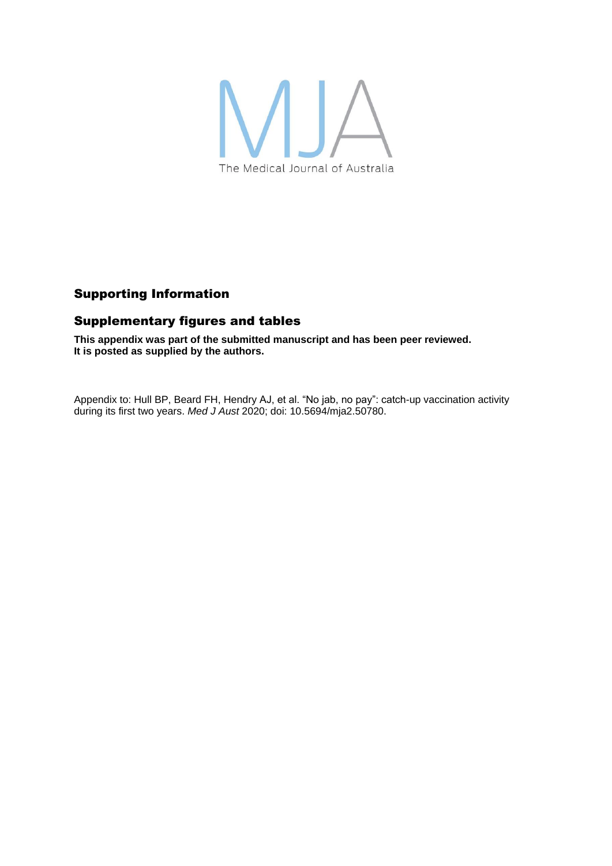

# Supporting Information

## Supplementary figures and tables

**This appendix was part of the submitted manuscript and has been peer reviewed. It is posted as supplied by the authors.**

Appendix to: Hull BP, Beard FH, Hendry AJ, et al. "No jab, no pay": catch-up vaccination activity during its first two years. *Med J Aust* 2020; doi: 10.5694/mja2.50780.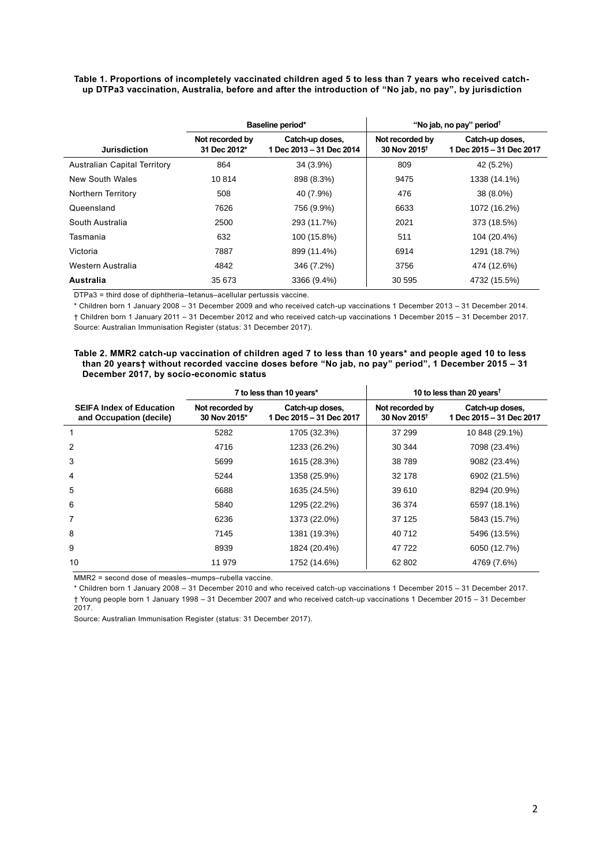**Table 1. Proportions of incompletely vaccinated children aged 5 to less than 7 years who received catchup DTPa3 vaccination, Australia, before and after the introduction of "No jab, no pay", by jurisdiction**

|                                     | Baseline period*                |                                             | "No jab, no pay" period <sup>†</sup>        |                                             |
|-------------------------------------|---------------------------------|---------------------------------------------|---------------------------------------------|---------------------------------------------|
| <b>Jurisdiction</b>                 | Not recorded by<br>31 Dec 2012* | Catch-up doses,<br>1 Dec 2013 - 31 Dec 2014 | Not recorded by<br>30 Nov 2015 <sup>+</sup> | Catch-up doses,<br>1 Dec 2015 - 31 Dec 2017 |
| <b>Australian Capital Territory</b> | 864                             | 34 (3.9%)                                   | 809                                         | 42 (5.2%)                                   |
| New South Wales                     | 10814                           | 898 (8.3%)                                  | 9475                                        | 1338 (14.1%)                                |
| Northern Territory                  | 508                             | 40 (7.9%)                                   | 476                                         | 38 (8.0%)                                   |
| Queensland                          | 7626                            | 756 (9.9%)                                  | 6633                                        | 1072 (16.2%)                                |
| South Australia                     | 2500                            | 293 (11.7%)                                 | 2021                                        | 373 (18.5%)                                 |
| Tasmania                            | 632                             | 100 (15.8%)                                 | 511                                         | 104 (20.4%)                                 |
| Victoria                            | 7887                            | 899 (11.4%)                                 | 6914                                        | 1291 (18.7%)                                |
| Western Australia                   | 4842                            | 346 (7.2%)                                  | 3756                                        | 474 (12.6%)                                 |
| Australia                           | 35 673                          | 3366 (9.4%)                                 | 30 595                                      | 4732 (15.5%)                                |

DTPa3 = third dose of diphtheria–tetanus–acellular pertussis vaccine.

\* Children born 1 January 2008 – 31 December 2009 and who received catch-up vaccinations 1 December 2013 – 31 December 2014. † Children born 1 January 2011 – 31 December 2012 and who received catch-up vaccinations 1 December 2015 – 31 December 2017. Source: Australian Immunisation Register (status: 31 December 2017).

### **Table 2. MMR2 catch-up vaccination of children aged 7 to less than 10 years\* and people aged 10 to less than 20 years† without recorded vaccine doses before "No jab, no pay" period", 1 December 2015 – 31 December 2017, by socio-economic status**

|                                                            | 7 to less than 10 years*        |                                             | 10 to less than 20 years <sup>t</sup>       |                                             |
|------------------------------------------------------------|---------------------------------|---------------------------------------------|---------------------------------------------|---------------------------------------------|
| <b>SEIFA Index of Education</b><br>and Occupation (decile) | Not recorded by<br>30 Nov 2015* | Catch-up doses,<br>1 Dec 2015 - 31 Dec 2017 | Not recorded by<br>30 Nov 2015 <sup>+</sup> | Catch-up doses,<br>1 Dec 2015 - 31 Dec 2017 |
| 1                                                          | 5282                            | 1705 (32.3%)                                | 37 299                                      | 10 848 (29.1%)                              |
| $\overline{2}$                                             | 4716                            | 1233 (26.2%)                                | 30 344                                      | 7098 (23.4%)                                |
| 3                                                          | 5699                            | 1615 (28.3%)                                | 38789                                       | 9082 (23.4%)                                |
| $\overline{4}$                                             | 5244                            | 1358 (25.9%)                                | 32 178                                      | 6902 (21.5%)                                |
| 5                                                          | 6688                            | 1635 (24.5%)                                | 39 610                                      | 8294 (20.9%)                                |
| 6                                                          | 5840                            | 1295 (22.2%)                                | 36 374                                      | 6597 (18.1%)                                |
| 7                                                          | 6236                            | 1373 (22.0%)                                | 37 125                                      | 5843 (15.7%)                                |
| 8                                                          | 7145                            | 1381 (19.3%)                                | 40 712                                      | 5496 (13.5%)                                |
| 9                                                          | 8939                            | 1824 (20.4%)                                | 47 722                                      | 6050 (12.7%)                                |
| 10                                                         | 11 979                          | 1752 (14.6%)                                | 62 802                                      | 4769 (7.6%)                                 |

MMR2 = second dose of measles–mumps–rubella vaccine.

\* Children born 1 January 2008 – 31 December 2010 and who received catch-up vaccinations 1 December 2015 – 31 December 2017. † Young people born 1 January 1998 – 31 December 2007 and who received catch-up vaccinations 1 December 2015 – 31 December 2017.

Source: Australian Immunisation Register (status: 31 December 2017).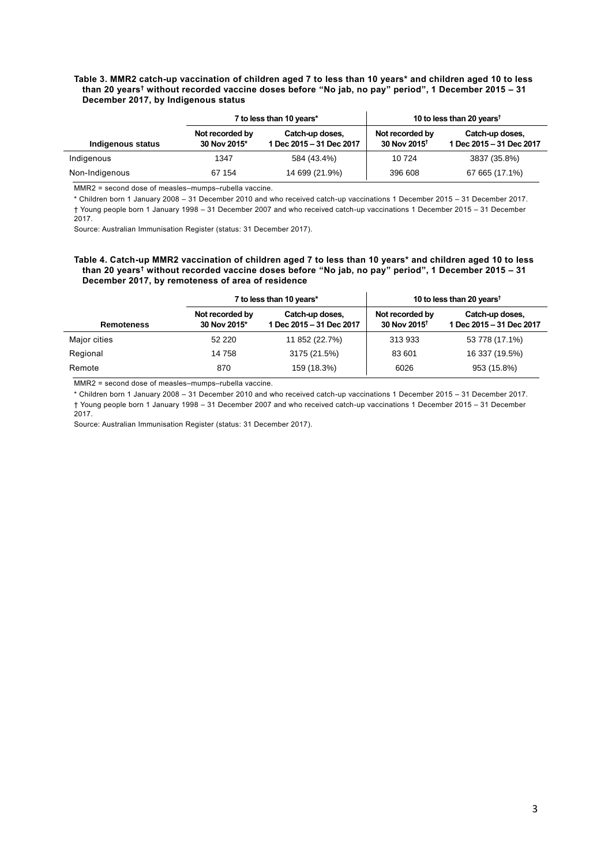### **Table 3. MMR2 catch-up vaccination of children aged 7 to less than 10 years\* and children aged 10 to less than 20 years† without recorded vaccine doses before "No jab, no pay" period", 1 December 2015 – 31 December 2017, by Indigenous status**

|                   | 7 to less than 10 years*        |                                             | 10 to less than 20 years <sup>t</sup>       |                                             |
|-------------------|---------------------------------|---------------------------------------------|---------------------------------------------|---------------------------------------------|
| Indigenous status | Not recorded by<br>30 Nov 2015* | Catch-up doses,<br>1 Dec 2015 - 31 Dec 2017 | Not recorded by<br>30 Nov 2015 <sup>†</sup> | Catch-up doses,<br>1 Dec 2015 - 31 Dec 2017 |
| Indigenous        | 1347                            | 584 (43.4%)                                 | 10724                                       | 3837 (35.8%)                                |
| Non-Indigenous    | 67 154                          | 14 699 (21.9%)                              | 396 608                                     | 67 665 (17.1%)                              |

MMR2 = second dose of measles–mumps–rubella vaccine.

\* Children born 1 January 2008 – 31 December 2010 and who received catch-up vaccinations 1 December 2015 – 31 December 2017. † Young people born 1 January 1998 – 31 December 2007 and who received catch-up vaccinations 1 December 2015 – 31 December 2017.

Source: Australian Immunisation Register (status: 31 December 2017).

#### **Table 4. Catch-up MMR2 vaccination of children aged 7 to less than 10 years\* and children aged 10 to less than 20 years† without recorded vaccine doses before "No jab, no pay" period", 1 December 2015 – 31 December 2017, by remoteness of area of residence**

|                   | 7 to less than 10 years*        |                                             | 10 to less than 20 years <sup>t</sup>       |                                             |
|-------------------|---------------------------------|---------------------------------------------|---------------------------------------------|---------------------------------------------|
| <b>Remoteness</b> | Not recorded by<br>30 Nov 2015* | Catch-up doses,<br>1 Dec 2015 - 31 Dec 2017 | Not recorded by<br>30 Nov 2015 <sup>t</sup> | Catch-up doses,<br>1 Dec 2015 - 31 Dec 2017 |
| Major cities      | 52 2 2 0                        | 11 852 (22.7%)                              | 313 933                                     | 53 778 (17.1%)                              |
| Regional          | 14 758                          | 3175 (21.5%)                                | 83 601                                      | 16 337 (19.5%)                              |
| Remote            | 870                             | 159 (18.3%)                                 | 6026                                        | 953 (15.8%)                                 |

MMR2 = second dose of measles–mumps–rubella vaccine.

 $\overline{a}$ 

\* Children born 1 January 2008 – 31 December 2010 and who received catch-up vaccinations 1 December 2015 – 31 December 2017. † Young people born 1 January 1998 – 31 December 2007 and who received catch-up vaccinations 1 December 2015 – 31 December 2017.

Source: Australian Immunisation Register (status: 31 December 2017).